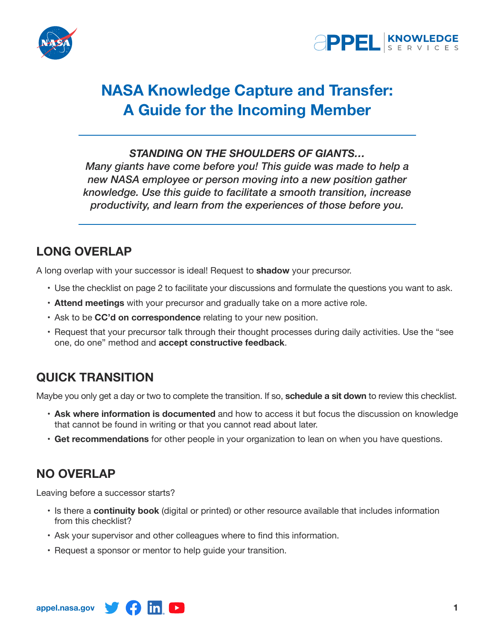



# **NASA Knowledge Capture and Transfer: A Guide for the Incoming Member**

#### *STANDING ON THE SHOULDERS OF GIANTS…*

*Many giants have come before you! This guide was made to help a new NASA employee or person moving into a new position gather knowledge. Use this guide to facilitate a smooth transition, increase productivity, and learn from the experiences of those before you.*

## **LONG OVERLAP**

A long overlap with your successor is ideal! Request to **shadow** your precursor.

- Use the checklist on page 2 to facilitate your discussions and formulate the questions you want to ask.
- • **Attend meetings** with your precursor and gradually take on a more active role.
- Ask to be **CC'd on correspondence** relating to your new position.
- • Request that your precursor talk through their thought processes during daily activities. Use the "see one, do one" method and **accept constructive feedback**.

# **QUICK TRANSITION**

Maybe you only get a day or two to complete the transition. If so, **schedule a sit down** to review this checklist.

- • **Ask where information is documented** and how to access it but focus the discussion on knowledge that cannot be found in writing or that you cannot read about later.
- • **Get recommendations** for other people in your organization to lean on when you have questions.

### **NO OVERLAP**

Leaving before a successor starts?

- • Is there a **continuity book** (digital or printed) or other resource available that includes information from this checklist?
- • Ask your supervisor and other colleagues where to find this information.
- Request a sponsor or mentor to help guide your transition.